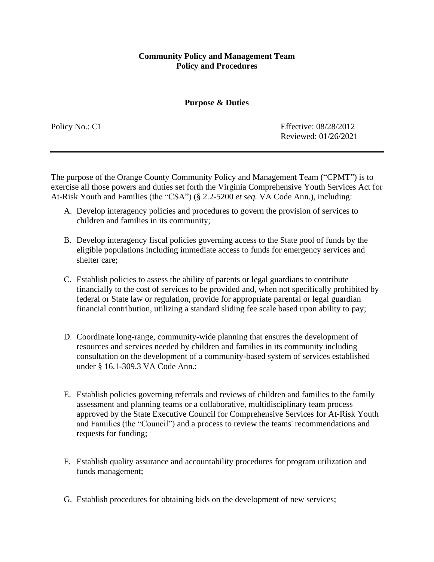#### **Purpose & Duties**

Policy No.: C1 Effective: 08/28/2012 Reviewed: 01/26/2021

The purpose of the Orange County Community Policy and Management Team ("CPMT") is to exercise all those powers and duties set forth the Virginia Comprehensive Youth Services Act for At-Risk Youth and Families (the "CSA") (§ 2.2-5200 *et seq.* VA Code Ann.), including:

- A. Develop interagency policies and procedures to govern the provision of services to children and families in its community;
- B. Develop interagency fiscal policies governing access to the State pool of funds by the eligible populations including immediate access to funds for emergency services and shelter care;
- C. Establish policies to assess the ability of parents or legal guardians to contribute financially to the cost of services to be provided and, when not specifically prohibited by federal or State law or regulation, provide for appropriate parental or legal guardian financial contribution, utilizing a standard sliding fee scale based upon ability to pay;
- D. Coordinate long-range, community-wide planning that ensures the development of resources and services needed by children and families in its community including consultation on the development of a community-based system of services established under § 16.1-309.3 VA Code Ann.;
- E. Establish policies governing referrals and reviews of children and families to the family assessment and planning teams or a collaborative, multidisciplinary team process approved by the State Executive Council for Comprehensive Services for At-Risk Youth and Families (the "Council") and a process to review the teams' recommendations and requests for funding;
- F. Establish quality assurance and accountability procedures for program utilization and funds management;
- G. Establish procedures for obtaining bids on the development of new services;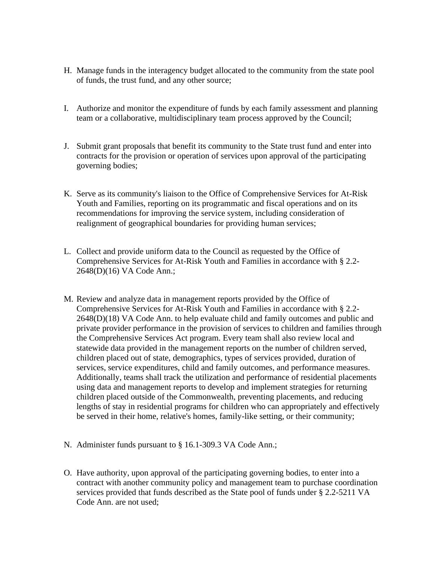- H. Manage funds in the interagency budget allocated to the community from the state pool of funds, the trust fund, and any other source;
- I. Authorize and monitor the expenditure of funds by each family assessment and planning team or a collaborative, multidisciplinary team process approved by the Council;
- J. Submit grant proposals that benefit its community to the State trust fund and enter into contracts for the provision or operation of services upon approval of the participating governing bodies;
- K. Serve as its community's liaison to the Office of Comprehensive Services for At-Risk Youth and Families, reporting on its programmatic and fiscal operations and on its recommendations for improving the service system, including consideration of realignment of geographical boundaries for providing human services;
- L. Collect and provide uniform data to the Council as requested by the Office of Comprehensive Services for At-Risk Youth and Families in accordance with § 2.2- 2648(D)(16) VA Code Ann.;
- M. Review and analyze data in management reports provided by the Office of Comprehensive Services for At-Risk Youth and Families in accordance with § 2.2- 2648(D)(18) VA Code Ann. to help evaluate child and family outcomes and public and private provider performance in the provision of services to children and families through the Comprehensive Services Act program. Every team shall also review local and statewide data provided in the management reports on the number of children served, children placed out of state, demographics, types of services provided, duration of services, service expenditures, child and family outcomes, and performance measures. Additionally, teams shall track the utilization and performance of residential placements using data and management reports to develop and implement strategies for returning children placed outside of the Commonwealth, preventing placements, and reducing lengths of stay in residential programs for children who can appropriately and effectively be served in their home, relative's homes, family-like setting, or their community;
- N. Administer funds pursuant to § 16.1-309.3 VA Code Ann.;
- O. Have authority, upon approval of the participating governing bodies, to enter into a contract with another community policy and management team to purchase coordination services provided that funds described as the State pool of funds under § 2.2-5211 VA Code Ann. are not used;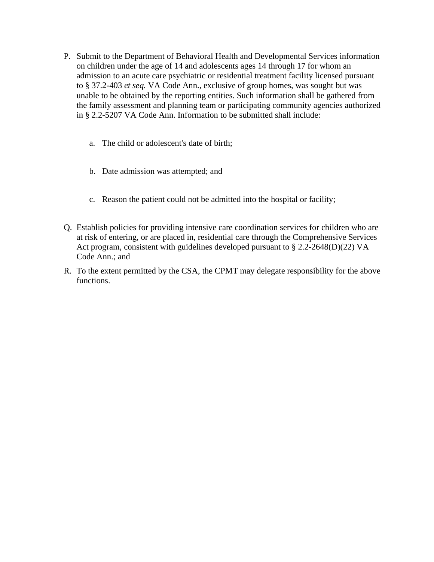- P. Submit to the Department of Behavioral Health and Developmental Services information on children under the age of 14 and adolescents ages 14 through 17 for whom an admission to an acute care psychiatric or residential treatment facility licensed pursuant to § 37.2-403 *et seq.* VA Code Ann., exclusive of group homes, was sought but was unable to be obtained by the reporting entities. Such information shall be gathered from the family assessment and planning team or participating community agencies authorized in § 2.2-5207 VA Code Ann. Information to be submitted shall include:
	- a. The child or adolescent's date of birth;
	- b. Date admission was attempted; and
	- c. Reason the patient could not be admitted into the hospital or facility;
- Q. Establish policies for providing intensive care coordination services for children who are at risk of entering, or are placed in, residential care through the Comprehensive Services Act program, consistent with guidelines developed pursuant to § 2.2-2648(D)(22) VA Code Ann.; and
- R. To the extent permitted by the CSA, the CPMT may delegate responsibility for the above functions.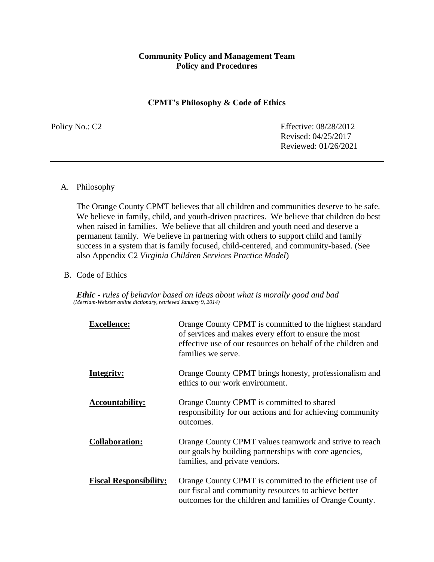#### **CPMT's Philosophy & Code of Ethics**

Policy No.: C2 Effective: 08/28/2012 Revised: 04/25/2017 Reviewed: 01/26/2021

#### A. Philosophy

The Orange County CPMT believes that all children and communities deserve to be safe. We believe in family, child, and youth-driven practices. We believe that children do best when raised in families. We believe that all children and youth need and deserve a permanent family. We believe in partnering with others to support child and family success in a system that is family focused, child-centered, and community-based. (See also Appendix C2 *Virginia Children Services Practice Model*)

#### B. Code of Ethics

*Ethic - rules of behavior based on ideas about what is morally good and bad (Merriam-Webster online dictionary, retrieved January 9, 2014)*

| <b>Excellence:</b>            | Orange County CPMT is committed to the highest standard<br>of services and makes every effort to ensure the most<br>effective use of our resources on behalf of the children and<br>families we serve. |
|-------------------------------|--------------------------------------------------------------------------------------------------------------------------------------------------------------------------------------------------------|
| Integrity:                    | Orange County CPMT brings honesty, professionalism and<br>ethics to our work environment.                                                                                                              |
| <b>Accountability:</b>        | Orange County CPMT is committed to shared<br>responsibility for our actions and for achieving community<br>outcomes.                                                                                   |
| <b>Collaboration:</b>         | Orange County CPMT values teamwork and strive to reach<br>our goals by building partnerships with core agencies,<br>families, and private vendors.                                                     |
| <b>Fiscal Responsibility:</b> | Orange County CPMT is committed to the efficient use of<br>our fiscal and community resources to achieve better<br>outcomes for the children and families of Orange County.                            |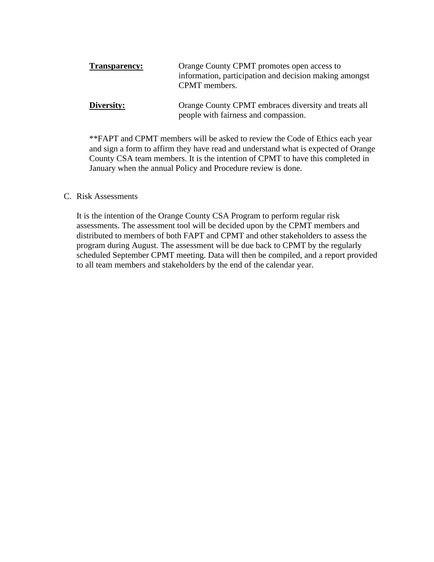| <b>Transparency:</b> | Orange County CPMT promotes open access to<br>information, participation and decision making amongst<br>CPMT members. |
|----------------------|-----------------------------------------------------------------------------------------------------------------------|
| Diversity:           | Orange County CPMT embraces diversity and treats all<br>people with fairness and compassion.                          |

\*\*FAPT and CPMT members will be asked to review the Code of Ethics each year and sign a form to affirm they have read and understand what is expected of Orange County CSA team members. It is the intention of CPMT to have this completed in January when the annual Policy and Procedure review is done.

#### C. Risk Assessments

It is the intention of the Orange County CSA Program to perform regular risk assessments. The assessment tool will be decided upon by the CPMT members and distributed to members of both FAPT and CPMT and other stakeholders to assess the program during August. The assessment will be due back to CPMT by the regularly scheduled September CPMT meeting. Data will then be compiled, and a report provided to all team members and stakeholders by the end of the calendar year.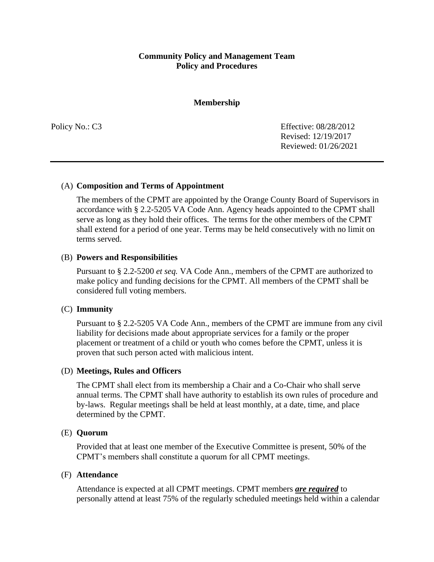#### **Membership**

Policy No.: C3 Effective: 08/28/2012 Revised: 12/19/2017 Reviewed: 01/26/2021

#### (A) **Composition and Terms of Appointment**

The members of the CPMT are appointed by the Orange County Board of Supervisors in accordance with § 2.2-5205 VA Code Ann. Agency heads appointed to the CPMT shall serve as long as they hold their offices. The terms for the other members of the CPMT shall extend for a period of one year. Terms may be held consecutively with no limit on terms served.

#### (B) **Powers and Responsibilities**

Pursuant to § 2.2-5200 *et seq.* VA Code Ann., members of the CPMT are authorized to make policy and funding decisions for the CPMT. All members of the CPMT shall be considered full voting members.

#### (C) **Immunity**

Pursuant to § 2.2-5205 VA Code Ann., members of the CPMT are immune from any civil liability for decisions made about appropriate services for a family or the proper placement or treatment of a child or youth who comes before the CPMT, unless it is proven that such person acted with malicious intent.

#### (D) **Meetings, Rules and Officers**

The CPMT shall elect from its membership a Chair and a Co-Chair who shall serve annual terms. The CPMT shall have authority to establish its own rules of procedure and by-laws. Regular meetings shall be held at least monthly, at a date, time, and place determined by the CPMT.

#### (E) **Quorum**

Provided that at least one member of the Executive Committee is present, 50% of the CPMT's members shall constitute a quorum for all CPMT meetings.

#### (F) **Attendance**

Attendance is expected at all CPMT meetings. CPMT members *are required* to personally attend at least 75% of the regularly scheduled meetings held within a calendar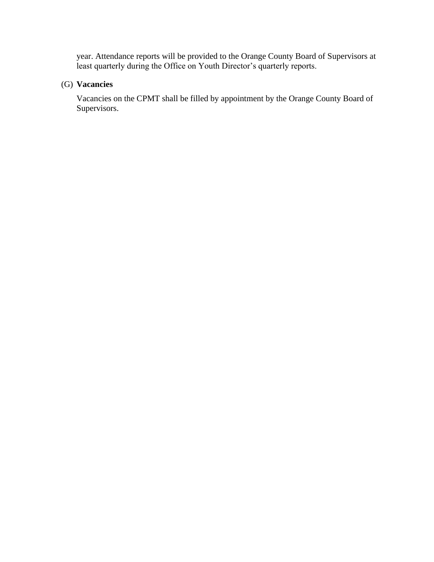year. Attendance reports will be provided to the Orange County Board of Supervisors at least quarterly during the Office on Youth Director's quarterly reports.

## (G) **Vacancies**

Vacancies on the CPMT shall be filled by appointment by the Orange County Board of Supervisors.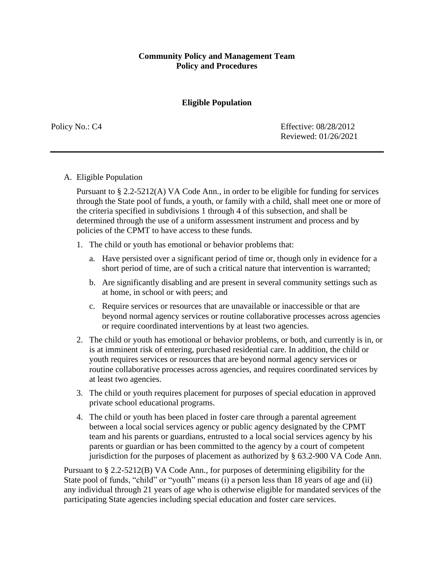### **Eligible Population**

Policy No.: C4 Effective: 08/28/2012 Reviewed: 01/26/2021

#### A. Eligible Population

Pursuant to § 2.2-5212(A) VA Code Ann., in order to be eligible for funding for services through the State pool of funds, a youth, or family with a child, shall meet one or more of the criteria specified in subdivisions 1 through 4 of this subsection, and shall be determined through the use of a uniform assessment instrument and process and by policies of the CPMT to have access to these funds.

- 1. The child or youth has emotional or behavior problems that:
	- a. Have persisted over a significant period of time or, though only in evidence for a short period of time, are of such a critical nature that intervention is warranted;
	- b. Are significantly disabling and are present in several community settings such as at home, in school or with peers; and
	- c. Require services or resources that are unavailable or inaccessible or that are beyond normal agency services or routine collaborative processes across agencies or require coordinated interventions by at least two agencies.
- 2. The child or youth has emotional or behavior problems, or both, and currently is in, or is at imminent risk of entering, purchased residential care. In addition, the child or youth requires services or resources that are beyond normal agency services or routine collaborative processes across agencies, and requires coordinated services by at least two agencies.
- 3. The child or youth requires placement for purposes of special education in approved private school educational programs.
- 4. The child or youth has been placed in foster care through a parental agreement between a local social services agency or public agency designated by the CPMT team and his parents or guardians, entrusted to a local social services agency by his parents or guardian or has been committed to the agency by a court of competent jurisdiction for the purposes of placement as authorized by § 63.2-900 VA Code Ann.

Pursuant to § 2.2-5212(B) VA Code Ann., for purposes of determining eligibility for the State pool of funds, "child" or "youth" means (i) a person less than 18 years of age and (ii) any individual through 21 years of age who is otherwise eligible for mandated services of the participating State agencies including special education and foster care services.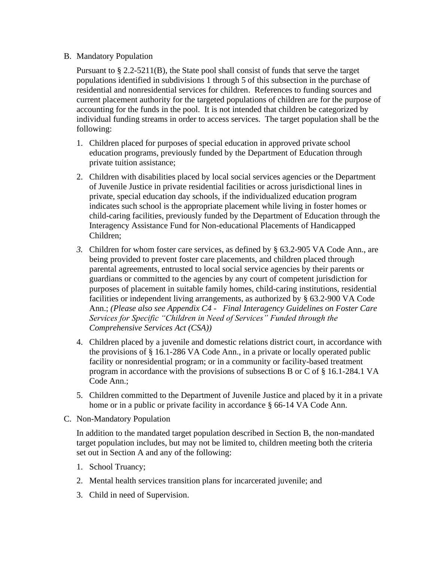### B. Mandatory Population

Pursuant to § 2.2-5211(B), the State pool shall consist of funds that serve the target populations identified in subdivisions 1 through 5 of this subsection in the purchase of residential and nonresidential services for children. References to funding sources and current placement authority for the targeted populations of children are for the purpose of accounting for the funds in the pool. It is not intended that children be categorized by individual funding streams in order to access services. The target population shall be the following:

- 1. Children placed for purposes of special education in approved private school education programs, previously funded by the Department of Education through private tuition assistance;
- 2. Children with disabilities placed by local social services agencies or the Department of Juvenile Justice in private residential facilities or across jurisdictional lines in private, special education day schools, if the individualized education program indicates such school is the appropriate placement while living in foster homes or child-caring facilities, previously funded by the Department of Education through the Interagency Assistance Fund for Non-educational Placements of Handicapped Children;
- *3.* Children for whom foster care services, as defined by § 63.2-905 VA Code Ann., are being provided to prevent foster care placements, and children placed through parental agreements, entrusted to local social service agencies by their parents or guardians or committed to the agencies by any court of competent jurisdiction for purposes of placement in suitable family homes, child-caring institutions, residential facilities or independent living arrangements, as authorized by § 63.2-900 VA Code Ann.; *(Please also see Appendix C4 - Final Interagency Guidelines on Foster Care Services for Specific "Children in Need of Services" Funded through the Comprehensive Services Act (CSA))*
- 4. Children placed by a juvenile and domestic relations district court, in accordance with the provisions of § 16.1-286 VA Code Ann., in a private or locally operated public facility or nonresidential program; or in a community or facility-based treatment program in accordance with the provisions of subsections B or C of § 16.1-284.1 VA Code Ann.;
- 5. Children committed to the Department of Juvenile Justice and placed by it in a private home or in a public or private facility in accordance § 66-14 VA Code Ann.
- C. Non-Mandatory Population

In addition to the mandated target population described in Section B, the non-mandated target population includes, but may not be limited to, children meeting both the criteria set out in Section A and any of the following:

- 1. School Truancy;
- 2. Mental health services transition plans for incarcerated juvenile; and
- 3. Child in need of Supervision.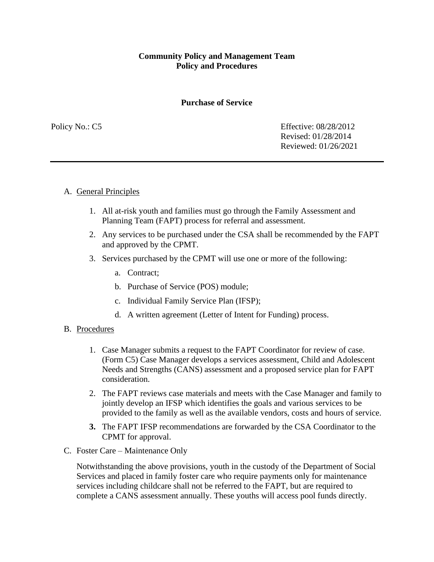#### **Purchase of Service**

Policy No.: C5 Effective: 08/28/2012 Revised: 01/28/2014 Reviewed: 01/26/2021

#### A. General Principles

- 1. All at-risk youth and families must go through the Family Assessment and Planning Team (FAPT) process for referral and assessment.
- 2. Any services to be purchased under the CSA shall be recommended by the FAPT and approved by the CPMT.
- 3. Services purchased by the CPMT will use one or more of the following:
	- a. Contract;
	- b. Purchase of Service (POS) module;
	- c. Individual Family Service Plan (IFSP);
	- d. A written agreement (Letter of Intent for Funding) process.
- B. Procedures
	- 1. Case Manager submits a request to the FAPT Coordinator for review of case. (Form C5) Case Manager develops a services assessment, Child and Adolescent Needs and Strengths (CANS) assessment and a proposed service plan for FAPT consideration.
	- 2. The FAPT reviews case materials and meets with the Case Manager and family to jointly develop an IFSP which identifies the goals and various services to be provided to the family as well as the available vendors, costs and hours of service.
	- **3.** The FAPT IFSP recommendations are forwarded by the CSA Coordinator to the CPMT for approval.
- C. Foster Care Maintenance Only

Notwithstanding the above provisions, youth in the custody of the Department of Social Services and placed in family foster care who require payments only for maintenance services including childcare shall not be referred to the FAPT, but are required to complete a CANS assessment annually. These youths will access pool funds directly.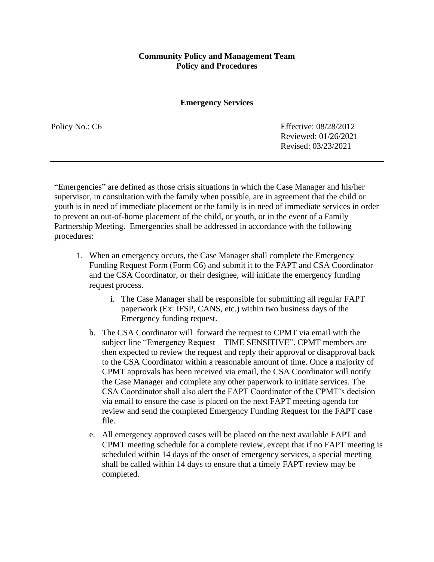**Emergency Services**

Policy No.: C6 Effective: 08/28/2012 Reviewed: 01/26/2021 Revised: 03/23/2021

"Emergencies" are defined as those crisis situations in which the Case Manager and his/her supervisor, in consultation with the family when possible, are in agreement that the child or youth is in need of immediate placement or the family is in need of immediate services in order to prevent an out-of-home placement of the child, or youth, or in the event of a Family Partnership Meeting. Emergencies shall be addressed in accordance with the following procedures:

- 1. When an emergency occurs, the Case Manager shall complete the Emergency Funding Request Form (Form C6) and submit it to the FAPT and CSA Coordinator and the CSA Coordinator, or their designee, will initiate the emergency funding request process.
	- i. The Case Manager shall be responsible for submitting all regular FAPT paperwork (Ex: IFSP, CANS, etc.) within two business days of the Emergency funding request.
	- b. The CSA Coordinator will forward the request to CPMT via email with the subject line "Emergency Request – TIME SENSITIVE". CPMT members are then expected to review the request and reply their approval or disapproval back to the CSA Coordinator within a reasonable amount of time. Once a majority of CPMT approvals has been received via email, the CSA Coordinator will notify the Case Manager and complete any other paperwork to initiate services. The CSA Coordinator shall also alert the FAPT Coordinator of the CPMT's decision via email to ensure the case is placed on the next FAPT meeting agenda for review and send the completed Emergency Funding Request for the FAPT case file.
	- e. All emergency approved cases will be placed on the next available FAPT and CPMT meeting schedule for a complete review, except that if no FAPT meeting is scheduled within 14 days of the onset of emergency services, a special meeting shall be called within 14 days to ensure that a timely FAPT review may be completed.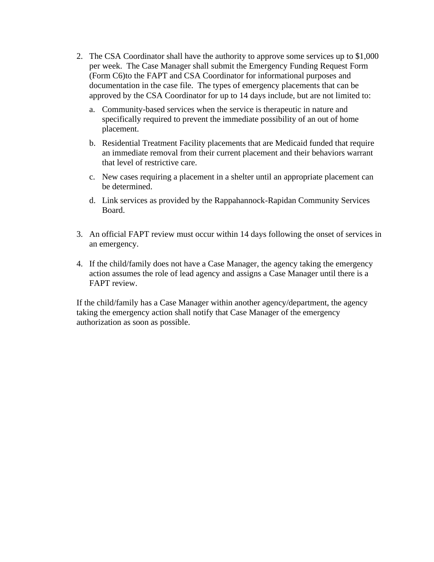- 2. The CSA Coordinator shall have the authority to approve some services up to \$1,000 per week. The Case Manager shall submit the Emergency Funding Request Form (Form C6)to the FAPT and CSA Coordinator for informational purposes and documentation in the case file. The types of emergency placements that can be approved by the CSA Coordinator for up to 14 days include, but are not limited to:
	- a. Community-based services when the service is therapeutic in nature and specifically required to prevent the immediate possibility of an out of home placement.
	- b. Residential Treatment Facility placements that are Medicaid funded that require an immediate removal from their current placement and their behaviors warrant that level of restrictive care.
	- c. New cases requiring a placement in a shelter until an appropriate placement can be determined.
	- d. Link services as provided by the Rappahannock-Rapidan Community Services Board.
- 3. An official FAPT review must occur within 14 days following the onset of services in an emergency.
- 4. If the child/family does not have a Case Manager, the agency taking the emergency action assumes the role of lead agency and assigns a Case Manager until there is a FAPT review.

If the child/family has a Case Manager within another agency/department, the agency taking the emergency action shall notify that Case Manager of the emergency authorization as soon as possible.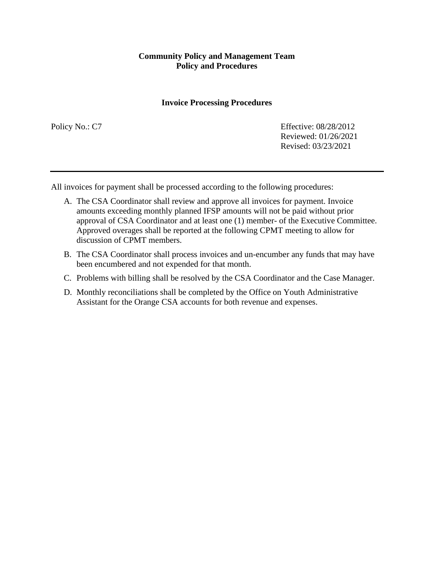#### **Invoice Processing Procedures**

Policy No.: C7 Effective: 08/28/2012 Reviewed: 01/26/2021 Revised: 03/23/2021

All invoices for payment shall be processed according to the following procedures:

- A. The CSA Coordinator shall review and approve all invoices for payment. Invoice amounts exceeding monthly planned IFSP amounts will not be paid without prior approval of CSA Coordinator and at least one (1) member- of the Executive Committee. Approved overages shall be reported at the following CPMT meeting to allow for discussion of CPMT members.
- B. The CSA Coordinator shall process invoices and un-encumber any funds that may have been encumbered and not expended for that month.
- C. Problems with billing shall be resolved by the CSA Coordinator and the Case Manager.
- D. Monthly reconciliations shall be completed by the Office on Youth Administrative Assistant for the Orange CSA accounts for both revenue and expenses.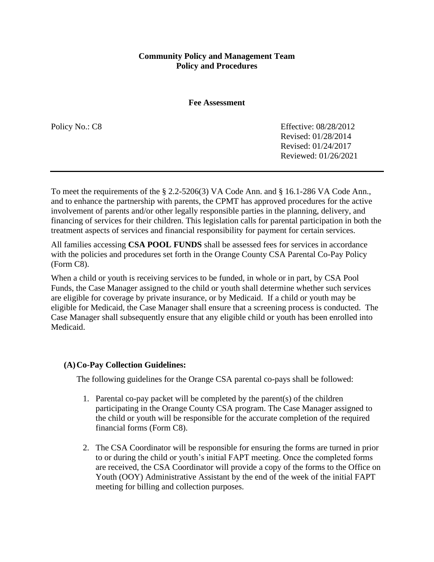**Fee Assessment**

Policy No.: C8 Effective: 08/28/2012 Revised: 01/28/2014 Revised: 01/24/2017 Reviewed: 01/26/2021

To meet the requirements of the § 2.2-5206(3) VA Code Ann. and § 16.1-286 VA Code Ann., and to enhance the partnership with parents, the CPMT has approved procedures for the active involvement of parents and/or other legally responsible parties in the planning, delivery, and financing of services for their children. This legislation calls for parental participation in both the treatment aspects of services and financial responsibility for payment for certain services.

All families accessing **CSA POOL FUNDS** shall be assessed fees for services in accordance with the policies and procedures set forth in the Orange County CSA Parental Co-Pay Policy (Form C8).

When a child or youth is receiving services to be funded, in whole or in part, by CSA Pool Funds, the Case Manager assigned to the child or youth shall determine whether such services are eligible for coverage by private insurance, or by Medicaid. If a child or youth may be eligible for Medicaid, the Case Manager shall ensure that a screening process is conducted. The Case Manager shall subsequently ensure that any eligible child or youth has been enrolled into Medicaid.

#### **(A)Co-Pay Collection Guidelines:**

The following guidelines for the Orange CSA parental co-pays shall be followed:

- 1. Parental co-pay packet will be completed by the parent(s) of the children participating in the Orange County CSA program. The Case Manager assigned to the child or youth will be responsible for the accurate completion of the required financial forms (Form C8).
- 2. The CSA Coordinator will be responsible for ensuring the forms are turned in prior to or during the child or youth's initial FAPT meeting. Once the completed forms are received, the CSA Coordinator will provide a copy of the forms to the Office on Youth (OOY) Administrative Assistant by the end of the week of the initial FAPT meeting for billing and collection purposes.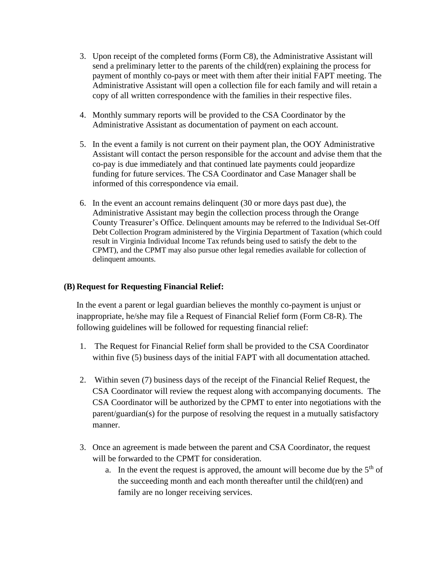- 3. Upon receipt of the completed forms (Form C8), the Administrative Assistant will send a preliminary letter to the parents of the child(ren) explaining the process for payment of monthly co-pays or meet with them after their initial FAPT meeting. The Administrative Assistant will open a collection file for each family and will retain a copy of all written correspondence with the families in their respective files.
- 4. Monthly summary reports will be provided to the CSA Coordinator by the Administrative Assistant as documentation of payment on each account.
- 5. In the event a family is not current on their payment plan, the OOY Administrative Assistant will contact the person responsible for the account and advise them that the co-pay is due immediately and that continued late payments could jeopardize funding for future services. The CSA Coordinator and Case Manager shall be informed of this correspondence via email.
- 6. In the event an account remains delinquent (30 or more days past due), the Administrative Assistant may begin the collection process through the Orange County Treasurer's Office. Delinquent amounts may be referred to the Individual Set-Off Debt Collection Program administered by the Virginia Department of Taxation (which could result in Virginia Individual Income Tax refunds being used to satisfy the debt to the CPMT), and the CPMT may also pursue other legal remedies available for collection of delinquent amounts.

## **(B) Request for Requesting Financial Relief:**

In the event a parent or legal guardian believes the monthly co-payment is unjust or inappropriate, he/she may file a Request of Financial Relief form (Form C8-R). The following guidelines will be followed for requesting financial relief:

- 1. The Request for Financial Relief form shall be provided to the CSA Coordinator within five (5) business days of the initial FAPT with all documentation attached.
- 2. Within seven (7) business days of the receipt of the Financial Relief Request, the CSA Coordinator will review the request along with accompanying documents. The CSA Coordinator will be authorized by the CPMT to enter into negotiations with the parent/guardian(s) for the purpose of resolving the request in a mutually satisfactory manner.
- 3. Once an agreement is made between the parent and CSA Coordinator, the request will be forwarded to the CPMT for consideration.
	- a. In the event the request is approved, the amount will become due by the  $5<sup>th</sup>$  of the succeeding month and each month thereafter until the child(ren) and family are no longer receiving services.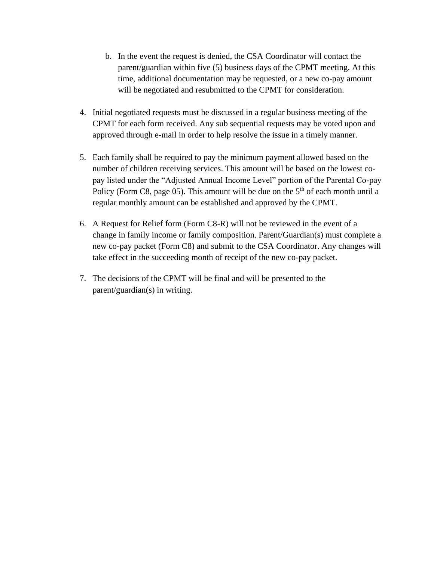- b. In the event the request is denied, the CSA Coordinator will contact the parent/guardian within five (5) business days of the CPMT meeting. At this time, additional documentation may be requested, or a new co-pay amount will be negotiated and resubmitted to the CPMT for consideration.
- 4. Initial negotiated requests must be discussed in a regular business meeting of the CPMT for each form received. Any sub sequential requests may be voted upon and approved through e-mail in order to help resolve the issue in a timely manner.
- 5. Each family shall be required to pay the minimum payment allowed based on the number of children receiving services. This amount will be based on the lowest copay listed under the "Adjusted Annual Income Level" portion of the Parental Co-pay Policy (Form C8, page 05). This amount will be due on the  $5<sup>th</sup>$  of each month until a regular monthly amount can be established and approved by the CPMT.
- 6. A Request for Relief form (Form C8-R) will not be reviewed in the event of a change in family income or family composition. Parent/Guardian(s) must complete a new co-pay packet (Form C8) and submit to the CSA Coordinator. Any changes will take effect in the succeeding month of receipt of the new co-pay packet.
- 7. The decisions of the CPMT will be final and will be presented to the parent/guardian(s) in writing.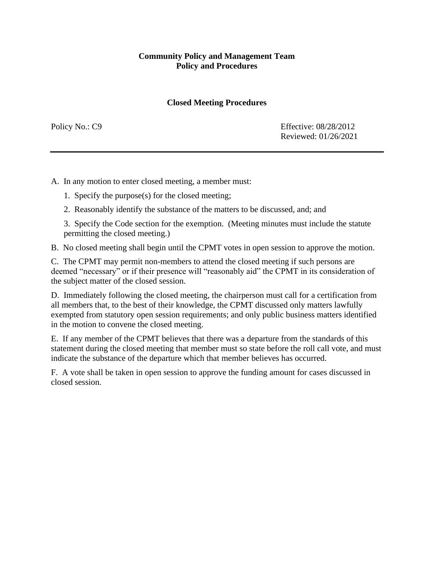## **Closed Meeting Procedures**

Policy No.: C9 Effective: 08/28/2012 Reviewed: 01/26/2021

A. In any motion to enter closed meeting, a member must:

1. Specify the purpose(s) for the closed meeting;

2. Reasonably identify the substance of the matters to be discussed, and; and

3. Specify the Code section for the exemption. (Meeting minutes must include the statute permitting the closed meeting.)

B. No closed meeting shall begin until the CPMT votes in open session to approve the motion.

C. The CPMT may permit non-members to attend the closed meeting if such persons are deemed "necessary" or if their presence will "reasonably aid" the CPMT in its consideration of the subject matter of the closed session.

D. Immediately following the closed meeting, the chairperson must call for a certification from all members that, to the best of their knowledge, the CPMT discussed only matters lawfully exempted from statutory open session requirements; and only public business matters identified in the motion to convene the closed meeting.

E. If any member of the CPMT believes that there was a departure from the standards of this statement during the closed meeting that member must so state before the roll call vote, and must indicate the substance of the departure which that member believes has occurred.

F. A vote shall be taken in open session to approve the funding amount for cases discussed in closed session.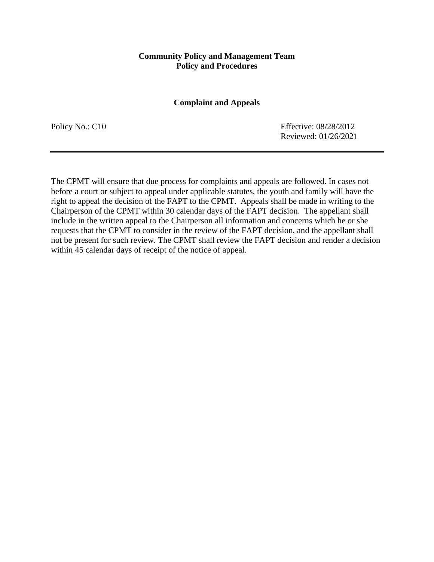#### **Complaint and Appeals**

Policy No.: C10 Effective: 08/28/2012 Reviewed: 01/26/2021

The CPMT will ensure that due process for complaints and appeals are followed. In cases not before a court or subject to appeal under applicable statutes, the youth and family will have the right to appeal the decision of the FAPT to the CPMT. Appeals shall be made in writing to the Chairperson of the CPMT within 30 calendar days of the FAPT decision. The appellant shall include in the written appeal to the Chairperson all information and concerns which he or she requests that the CPMT to consider in the review of the FAPT decision, and the appellant shall not be present for such review. The CPMT shall review the FAPT decision and render a decision within 45 calendar days of receipt of the notice of appeal.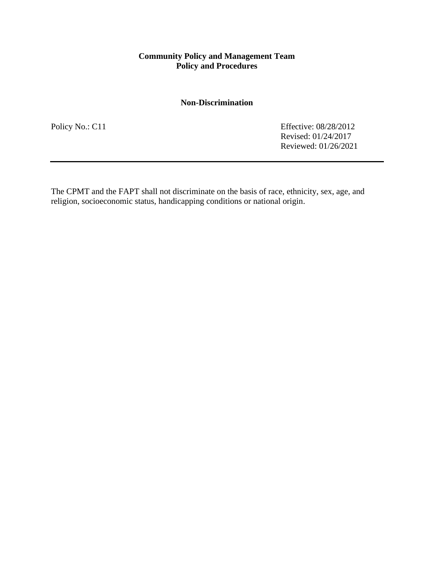### **Non-Discrimination**

Policy No.: C11 Effective: 08/28/2012 Revised: 01/24/2017 Reviewed: 01/26/2021

The CPMT and the FAPT shall not discriminate on the basis of race, ethnicity, sex, age, and religion, socioeconomic status, handicapping conditions or national origin.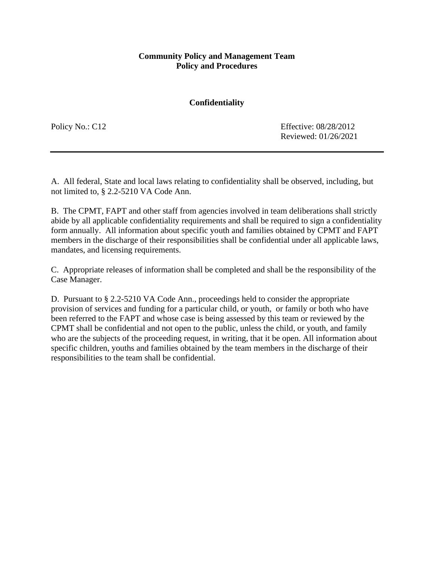#### **Confidentiality**

Policy No.: C12 Effective: 08/28/2012 Reviewed: 01/26/2021

A. All federal, State and local laws relating to confidentiality shall be observed, including, but not limited to, § 2.2-5210 VA Code Ann.

B. The CPMT, FAPT and other staff from agencies involved in team deliberations shall strictly abide by all applicable confidentiality requirements and shall be required to sign a confidentiality form annually. All information about specific youth and families obtained by CPMT and FAPT members in the discharge of their responsibilities shall be confidential under all applicable laws, mandates, and licensing requirements.

C. Appropriate releases of information shall be completed and shall be the responsibility of the Case Manager.

D. Pursuant to § 2.2-5210 VA Code Ann., proceedings held to consider the appropriate provision of services and funding for a particular child, or youth, or family or both who have been referred to the FAPT and whose case is being assessed by this team or reviewed by the CPMT shall be confidential and not open to the public, unless the child, or youth, and family who are the subjects of the proceeding request, in writing, that it be open. All information about specific children, youths and families obtained by the team members in the discharge of their responsibilities to the team shall be confidential.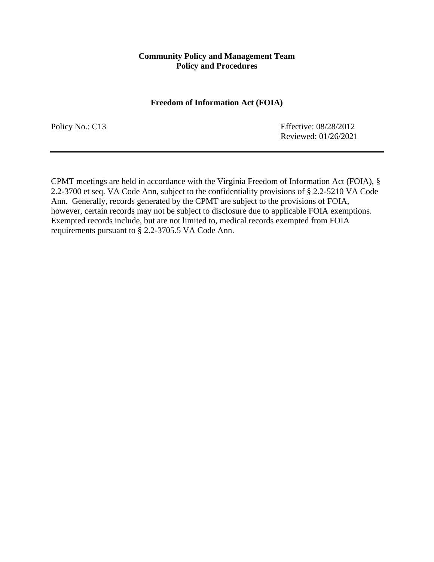#### **Freedom of Information Act (FOIA)**

Policy No.: C13 Effective: 08/28/2012 Reviewed: 01/26/2021

CPMT meetings are held in accordance with the Virginia Freedom of Information Act (FOIA), § 2.2-3700 et seq. VA Code Ann, subject to the confidentiality provisions of § 2.2-5210 VA Code Ann. Generally, records generated by the CPMT are subject to the provisions of FOIA, however, certain records may not be subject to disclosure due to applicable FOIA exemptions. Exempted records include, but are not limited to, medical records exempted from FOIA requirements pursuant to § 2.2-3705.5 VA Code Ann.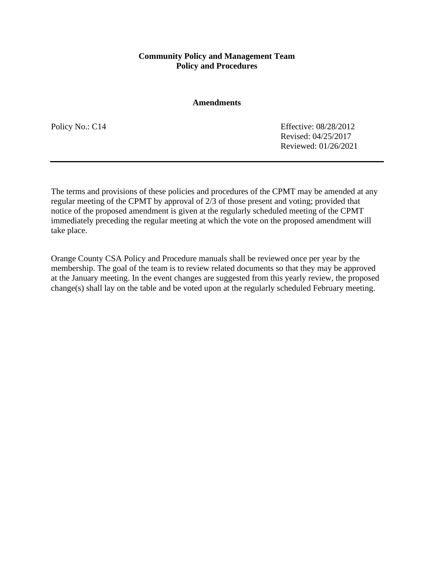#### **Amendments**

Policy No.: C14 Effective: 08/28/2012 Revised: 04/25/2017 Reviewed: 01/26/2021

The terms and provisions of these policies and procedures of the CPMT may be amended at any regular meeting of the CPMT by approval of 2/3 of those present and voting; provided that notice of the proposed amendment is given at the regularly scheduled meeting of the CPMT immediately preceding the regular meeting at which the vote on the proposed amendment will take place.

Orange County CSA Policy and Procedure manuals shall be reviewed once per year by the membership. The goal of the team is to review related documents so that they may be approved at the January meeting. In the event changes are suggested from this yearly review, the proposed change(s) shall lay on the table and be voted upon at the regularly scheduled February meeting.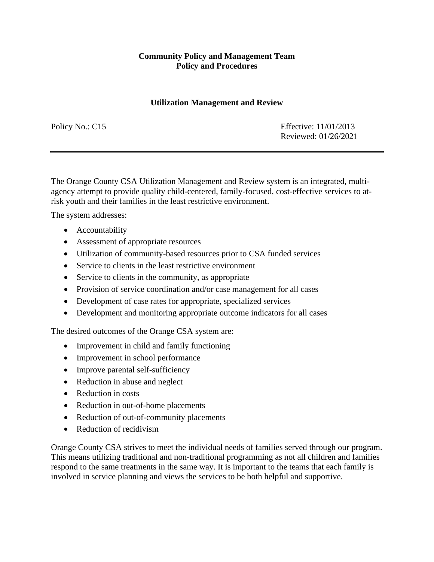#### **Utilization Management and Review**

Policy No.: C15 Effective: 11/01/2013 Reviewed: 01/26/2021

The Orange County CSA Utilization Management and Review system is an integrated, multiagency attempt to provide quality child-centered, family-focused, cost-effective services to atrisk youth and their families in the least restrictive environment.

The system addresses:

- Accountability
- Assessment of appropriate resources
- Utilization of community-based resources prior to CSA funded services
- Service to clients in the least restrictive environment
- Service to clients in the community, as appropriate
- Provision of service coordination and/or case management for all cases
- Development of case rates for appropriate, specialized services
- Development and monitoring appropriate outcome indicators for all cases

The desired outcomes of the Orange CSA system are:

- Improvement in child and family functioning
- Improvement in school performance
- Improve parental self-sufficiency
- Reduction in abuse and neglect
- Reduction in costs
- Reduction in out-of-home placements
- Reduction of out-of-community placements
- Reduction of recidivism

Orange County CSA strives to meet the individual needs of families served through our program. This means utilizing traditional and non-traditional programming as not all children and families respond to the same treatments in the same way. It is important to the teams that each family is involved in service planning and views the services to be both helpful and supportive.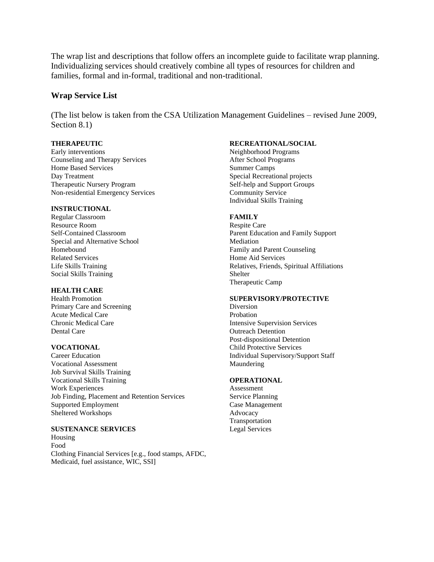The wrap list and descriptions that follow offers an incomplete guide to facilitate wrap planning. Individualizing services should creatively combine all types of resources for children and families, formal and in-formal, traditional and non-traditional.

#### **Wrap Service List**

(The list below is taken from the CSA Utilization Management Guidelines – revised June 2009, Section 8.1)

Early interventions<br>
Counseling and Therapy Services<br>
After School Programs<br>
After School Programs Counseling and Therapy Services<br>
Home Based Services<br>
Summer Camps Home Based Services Day Treatment Special Recreational projects Therapeutic Nursery Program Self-help and Support Groups Non-residential Emergency Services Community Service

#### **INSTRUCTIONAL**

Regular Classroom **FAMILY** Resource Room Respite Care Special and Alternative School Mediation Homebound Family and Parent Counseling Related Services Home Aid Services Social Skills Training Shelter

#### **HEALTH CARE**

Primary Care and Screening Diversion Acute Medical Care **Probation** Dental Care **Outreach Detention** 

Vocational Assessment Maundering Job Survival Skills Training Vocational Skills Training **OPERATIONAL** Work Experiences Assessment Job Finding, Placement and Retention Services Service Planning Supported Employment Case Management Sheltered Workshops **Advocacy** 

#### **SUSTENANCE SERVICES** Legal Services

Housing Food Clothing Financial Services [e.g., food stamps, AFDC, Medicaid, fuel assistance, WIC, SSI]

#### **THERAPEUTIC RECREATIONAL/SOCIAL**

Individual Skills Training

Self-Contained Classroom Parent Education and Family Support Life Skills Training Relatives, Friends, Spiritual Affiliations Therapeutic Camp

#### Health Promotion **SUPERVISORY/PROTECTIVE**

Chronic Medical Care Intensive Supervision Services Post-dispositional Detention **VOCATIONAL** Child Protective Services Career Education Individual Supervisory/Support Staff

Transportation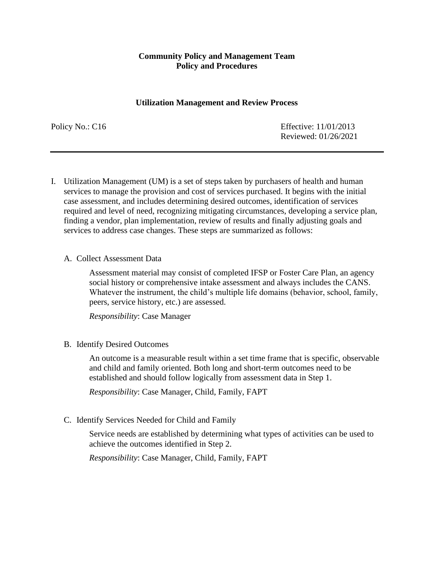#### **Utilization Management and Review Process**

Policy No.: C16 Effective: 11/01/2013 Reviewed: 01/26/2021

- I. Utilization Management (UM) is a set of steps taken by purchasers of health and human services to manage the provision and cost of services purchased. It begins with the initial case assessment, and includes determining desired outcomes, identification of services required and level of need, recognizing mitigating circumstances, developing a service plan, finding a vendor, plan implementation, review of results and finally adjusting goals and services to address case changes. These steps are summarized as follows:
	- A. Collect Assessment Data

Assessment material may consist of completed IFSP or Foster Care Plan, an agency social history or comprehensive intake assessment and always includes the CANS. Whatever the instrument, the child's multiple life domains (behavior, school, family, peers, service history, etc.) are assessed.

*Responsibility*: Case Manager

B. Identify Desired Outcomes

An outcome is a measurable result within a set time frame that is specific, observable and child and family oriented. Both long and short-term outcomes need to be established and should follow logically from assessment data in Step 1.

*Responsibility*: Case Manager, Child, Family, FAPT

C. Identify Services Needed for Child and Family

Service needs are established by determining what types of activities can be used to achieve the outcomes identified in Step 2.

*Responsibility*: Case Manager, Child, Family, FAPT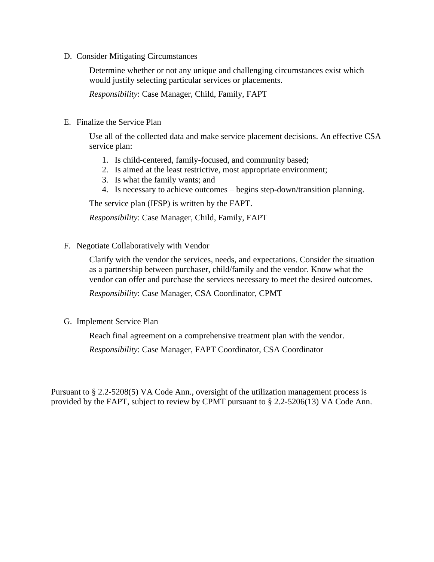D. Consider Mitigating Circumstances

Determine whether or not any unique and challenging circumstances exist which would justify selecting particular services or placements.

*Responsibility*: Case Manager, Child, Family, FAPT

E. Finalize the Service Plan

Use all of the collected data and make service placement decisions. An effective CSA service plan:

- 1. Is child-centered, family-focused, and community based;
- 2. Is aimed at the least restrictive, most appropriate environment;
- 3. Is what the family wants; and
- 4. Is necessary to achieve outcomes begins step-down/transition planning.

The service plan (IFSP) is written by the FAPT.

*Responsibility*: Case Manager, Child, Family, FAPT

F. Negotiate Collaboratively with Vendor

Clarify with the vendor the services, needs, and expectations. Consider the situation as a partnership between purchaser, child/family and the vendor. Know what the vendor can offer and purchase the services necessary to meet the desired outcomes.

*Responsibility*: Case Manager, CSA Coordinator, CPMT

G. Implement Service Plan

Reach final agreement on a comprehensive treatment plan with the vendor.

*Responsibility*: Case Manager, FAPT Coordinator, CSA Coordinator

Pursuant to § 2.2-5208(5) VA Code Ann., oversight of the utilization management process is provided by the FAPT, subject to review by CPMT pursuant to § 2.2-5206(13) VA Code Ann.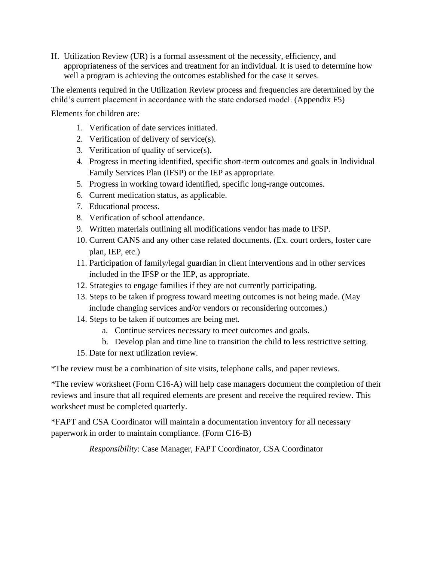H. Utilization Review (UR) is a formal assessment of the necessity, efficiency, and appropriateness of the services and treatment for an individual. It is used to determine how well a program is achieving the outcomes established for the case it serves.

The elements required in the Utilization Review process and frequencies are determined by the child's current placement in accordance with the state endorsed model. (Appendix F5)

Elements for children are:

- 1. Verification of date services initiated.
- 2. Verification of delivery of service(s).
- 3. Verification of quality of service(s).
- 4. Progress in meeting identified, specific short-term outcomes and goals in Individual Family Services Plan (IFSP) or the IEP as appropriate.
- 5. Progress in working toward identified, specific long-range outcomes.
- 6. Current medication status, as applicable.
- 7. Educational process.
- 8. Verification of school attendance.
- 9. Written materials outlining all modifications vendor has made to IFSP.
- 10. Current CANS and any other case related documents. (Ex. court orders, foster care plan, IEP, etc.)
- 11. Participation of family/legal guardian in client interventions and in other services included in the IFSP or the IEP, as appropriate.
- 12. Strategies to engage families if they are not currently participating.
- 13. Steps to be taken if progress toward meeting outcomes is not being made. (May include changing services and/or vendors or reconsidering outcomes.)
- 14. Steps to be taken if outcomes are being met.
	- a. Continue services necessary to meet outcomes and goals.
	- b. Develop plan and time line to transition the child to less restrictive setting.
- 15. Date for next utilization review.

\*The review must be a combination of site visits, telephone calls, and paper reviews.

\*The review worksheet (Form C16-A) will help case managers document the completion of their reviews and insure that all required elements are present and receive the required review. This worksheet must be completed quarterly.

\*FAPT and CSA Coordinator will maintain a documentation inventory for all necessary paperwork in order to maintain compliance. (Form C16-B)

*Responsibility*: Case Manager, FAPT Coordinator, CSA Coordinator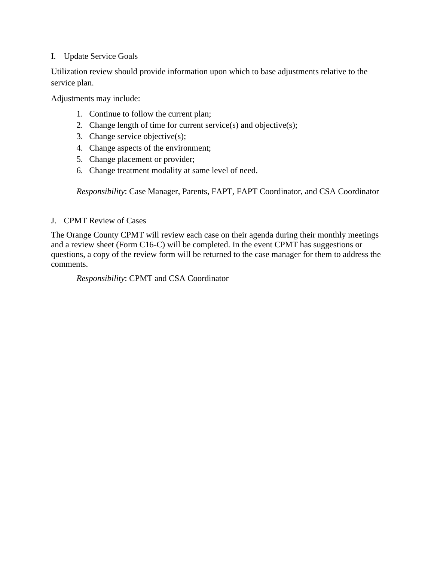## I. Update Service Goals

Utilization review should provide information upon which to base adjustments relative to the service plan.

Adjustments may include:

- 1. Continue to follow the current plan;
- 2. Change length of time for current service(s) and objective(s);
- 3. Change service objective(s);
- 4. Change aspects of the environment;
- 5. Change placement or provider;
- 6. Change treatment modality at same level of need.

*Responsibility*: Case Manager, Parents, FAPT, FAPT Coordinator, and CSA Coordinator

## J. CPMT Review of Cases

The Orange County CPMT will review each case on their agenda during their monthly meetings and a review sheet (Form C16-C) will be completed. In the event CPMT has suggestions or questions, a copy of the review form will be returned to the case manager for them to address the comments.

*Responsibility*: CPMT and CSA Coordinator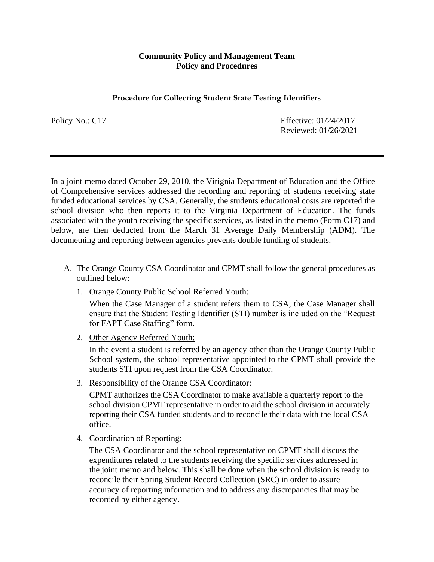#### **Procedure for Collecting Student State Testing Identifiers**

Policy No.: C17 Effective: 01/24/2017 Reviewed: 01/26/2021

In a joint memo dated October 29, 2010, the Virignia Department of Education and the Office of Comprehensive services addressed the recording and reporting of students receiving state funded educational services by CSA. Generally, the students educational costs are reported the school division who then reports it to the Virginia Department of Education. The funds associated with the youth receiving the specific services, as listed in the memo (Form C17) and below, are then deducted from the March 31 Average Daily Membership (ADM). The documetning and reporting between agencies prevents double funding of students.

- A. The Orange County CSA Coordinator and CPMT shall follow the general procedures as outlined below:
	- 1. Orange County Public School Referred Youth:

When the Case Manager of a student refers them to CSA, the Case Manager shall ensure that the Student Testing Identifier (STI) number is included on the "Request for FAPT Case Staffing" form.

2. Other Agency Referred Youth:

In the event a student is referred by an agency other than the Orange County Public School system, the school representative appointed to the CPMT shall provide the students STI upon request from the CSA Coordinator.

3. Responsibility of the Orange CSA Coordinator:

CPMT authorizes the CSA Coordinator to make available a quarterly report to the school division CPMT representative in order to aid the school division in accurately reporting their CSA funded students and to reconcile their data with the local CSA office.

4. Coordination of Reporting:

The CSA Coordinator and the school representative on CPMT shall discuss the expenditures related to the students receiving the specific services addressed in the joint memo and below. This shall be done when the school division is ready to reconcile their Spring Student Record Collection (SRC) in order to assure accuracy of reporting information and to address any discrepancies that may be recorded by either agency.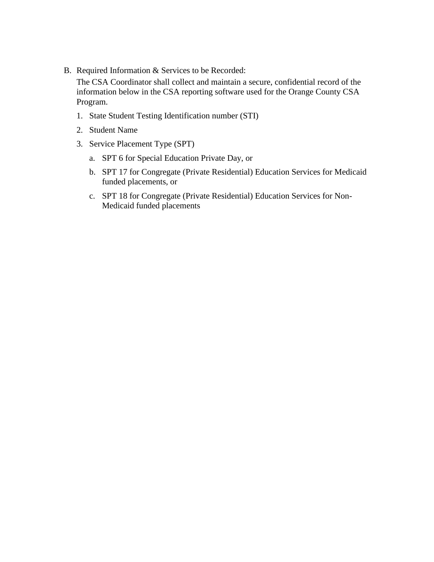B. Required Information & Services to be Recorded:

The CSA Coordinator shall collect and maintain a secure, confidential record of the information below in the CSA reporting software used for the Orange County CSA Program.

- 1. State Student Testing Identification number (STI)
- 2. Student Name
- 3. Service Placement Type (SPT)
	- a. SPT 6 for Special Education Private Day, or
	- b. SPT 17 for Congregate (Private Residential) Education Services for Medicaid funded placements, or
	- c. SPT 18 for Congregate (Private Residential) Education Services for Non-Medicaid funded placements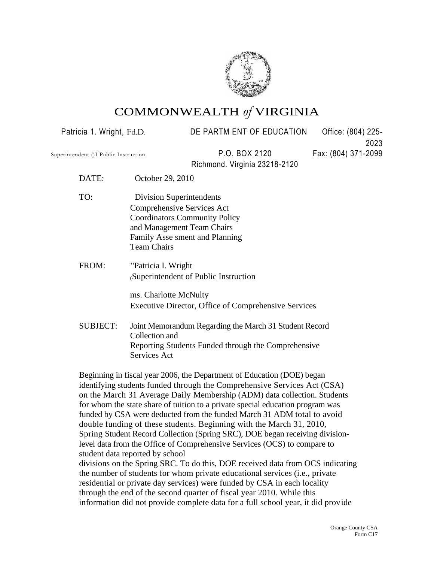

# COMMONWEALTH *of* VIRGINIA

Patricia 1. Wright, Fd.D. DE PARTM ENT OF EDUCATION Office: (804) 225-2023 Superintendent ()I<sup>-</sup>Public Instruction P.O. BOX 2120 Fax: (804) 371-2099 Richmond. Virginia 23218-2120 DATE: October 29, 2010 TO: Division Superintendents Comprehensive Services Act Coordinators Community Policy and Management Team Chairs Family Asse sment and Planning Team Chairs FROM: "Patricia I. Wright (Superintendent of Public Instruction ms. Charlotte McNulty Executive Director, Office of Comprehensive Services SUBJECT: Joint Memorandum Regarding the March 31 Student Record Collection and Reporting Students Funded through the Comprehensive Services Act Beginning in fiscal year 2006, the Department of Education (DOE) began

identifying students funded through the Comprehensive Services Act (CSA) on the March 31 Average Daily Membership (ADM) data collection. Students for whom the state share of tuition to a private special education program was funded by CSA were deducted from the funded March 31 ADM total to avoid double funding of these students. Beginning with the March 31, 2010, Spring Student Record Collection (Spring SRC), DOE began receiving divisionlevel data from the Office of Comprehensive Services (OCS) to compare to student data reported by school divisions on the Spring SRC. To do this, DOE received data from OCS indicating the number of students for whom private educational services (i.e., private residential or private day services) were funded by CSA in each locality through the end of the second quarter of fiscal year 2010. While this information did not provide complete data for a full school year, it did provide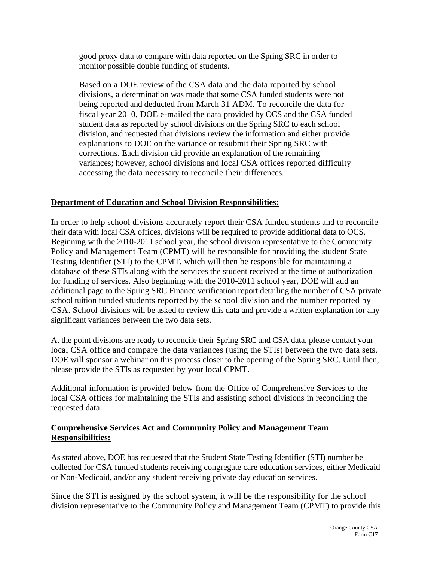good proxy data to compare with data reported on the Spring SRC in order to monitor possible double funding of students.

Based on a DOE review of the CSA data and the data reported by school divisions, a determination was made that some CSA funded students were not being reported and deducted from March 31 ADM. To reconcile the data for fiscal year 2010, DOE e-mailed the data provided by OCS and the CSA funded student data as reported by school divisions on the Spring SRC to each school division, and requested that divisions review the information and either provide explanations to DOE on the variance or resubmit their Spring SRC with corrections. Each division did provide an explanation of the remaining variances; however, school divisions and local CSA offices reported difficulty accessing the data necessary to reconcile their differences.

## **Department of Education and School Division Responsibilities:**

In order to help school divisions accurately report their CSA funded students and to reconcile their data with local CSA offices, divisions will be required to provide additional data to OCS. Beginning with the 2010-2011 school year, the school division representative to the Community Policy and Management Team (CPMT) will be responsible for providing the student State Testing Identifier (STI) to the CPMT, which will then be responsible for maintaining a database of these STIs along with the services the student received at the time of authorization for funding of services. Also beginning with the 2010-2011 school year, DOE will add an additional page to the Spring SRC Finance verification report detailing the number of CSA private school tuition funded students reported by the school division and the number reported by CSA. School divisions will be asked to review this data and provide a written explanation for any significant variances between the two data sets.

At the point divisions are ready to reconcile their Spring SRC and CSA data, please contact your local CSA office and compare the data variances (using the STIs) between the two data sets. DOE will sponsor a webinar on this process closer to the opening of the Spring SRC. Until then, please provide the STIs as requested by your local CPMT.

Additional information is provided below from the Office of Comprehensive Services to the local CSA offices for maintaining the STIs and assisting school divisions in reconciling the requested data.

## **Comprehensive Services Act and Community Policy and Management Team Responsibilities:**

As stated above, DOE has requested that the Student State Testing Identifier (STI) number be collected for CSA funded students receiving congregate care education services, either Medicaid or Non-Medicaid, and/or any student receiving private day education services.

Since the STI is assigned by the school system, it will be the responsibility for the school division representative to the Community Policy and Management Team (CPMT) to provide this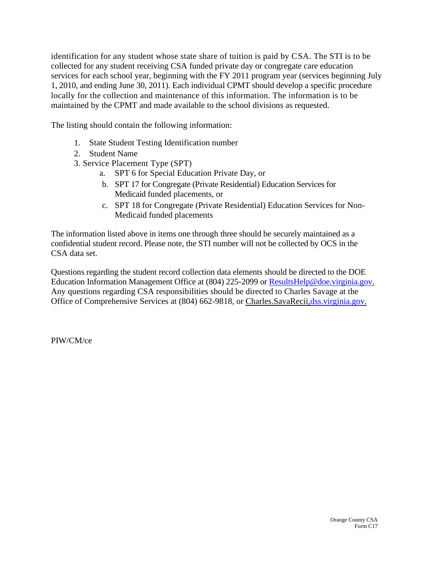identification for any student whose state share of tuition is paid by CSA. The STI is to be collected for any student receiving CSA funded private day or congregate care education services for each school year, beginning with the FY 2011 program year (services beginning July 1, 2010, and ending June 30, 2011). Each individual CPMT should develop a specific procedure locally for the collection and maintenance of this information. The information is to be maintained by the CPMT and made available to the school divisions as requested.

The listing should contain the following information:

- 1. State Student Testing Identification number
- 2. Student Name
- 3. Service Placement Type (SPT)
	- a. SPT 6 for Special Education Private Day, or
	- b. SPT 17 for Congregate (Private Residential) Education Services for Medicaid funded placements, or
	- c. SPT 18 for Congregate (Private Residential) Education Services for Non-Medicaid funded placements

The information listed above in items one through three should be securely maintained as a confidential student record. Please note, the STI number will not be collected by OCS in the CSA data set.

Questions regarding the student record collection data elements should be directed to the DOE Education Information Management Office at (804) 225-2099 or [ResultsHelp@doe.virginia.gov.](mailto:ResultsHelp@doe.virginia.gov) Any questions regarding CSA responsibilities should be directed to Charles Savage at the Office of Comprehensive Services at (804) 662-9818, or Charles.SavaRecii[,dss.virginia.gov.](http://dss.virginia.gov/)

PIW/CM/ce